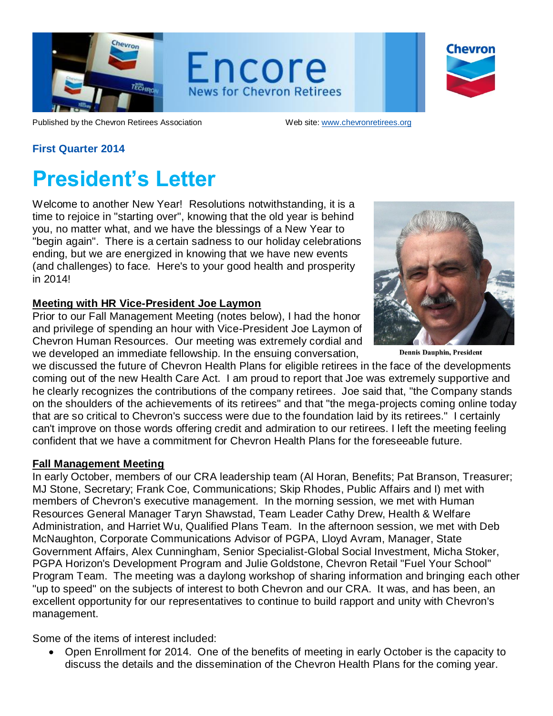

Encore **News for Chevron Retirees** 

| Chevron |
|---------|
|         |
|         |
|         |

Published by the Chevron Retirees Association Web site[: www.chevronretirees.org](http://www.chevronretirees.org/)

### **First Quarter 2014**

## **President's Letter**

Welcome to another New Year! Resolutions notwithstanding, it is a time to rejoice in "starting over", knowing that the old year is behind you, no matter what, and we have the blessings of a New Year to "begin again". There is a certain sadness to our holiday celebrations ending, but we are energized in knowing that we have new events (and challenges) to face. Here's to your good health and prosperity in 2014!

#### **Meeting with HR Vice-President Joe Laymon**

Prior to our Fall Management Meeting (notes below), I had the honor and privilege of spending an hour with Vice-President Joe Laymon of Chevron Human Resources. Our meeting was extremely cordial and we developed an immediate fellowship. In the ensuing conversation,



**Dennis Dauphin, President** 

we discussed the future of Chevron Health Plans for eligible retirees in the face of the developments coming out of the new Health Care Act. I am proud to report that Joe was extremely supportive and he clearly recognizes the contributions of the company retirees. Joe said that, "the Company stands on the shoulders of the achievements of its retirees" and that "the mega-projects coming online today that are so critical to Chevron's success were due to the foundation laid by its retirees." I certainly can't improve on those words offering credit and admiration to our retirees. I left the meeting feeling confident that we have a commitment for Chevron Health Plans for the foreseeable future.

#### **Fall Management Meeting**

In early October, members of our CRA leadership team (Al Horan, Benefits; Pat Branson, Treasurer; MJ Stone, Secretary; Frank Coe, Communications; Skip Rhodes, Public Affairs and I) met with members of Chevron's executive management. In the morning session, we met with Human Resources General Manager Taryn Shawstad, Team Leader Cathy Drew, Health & Welfare Administration, and Harriet Wu, Qualified Plans Team. In the afternoon session, we met with Deb McNaughton, Corporate Communications Advisor of PGPA, Lloyd Avram, Manager, State Government Affairs, Alex Cunningham, Senior Specialist-Global Social Investment, Micha Stoker, PGPA Horizon's Development Program and Julie Goldstone, Chevron Retail "Fuel Your School" Program Team. The meeting was a daylong workshop of sharing information and bringing each other "up to speed" on the subjects of interest to both Chevron and our CRA. It was, and has been, an excellent opportunity for our representatives to continue to build rapport and unity with Chevron's management.

Some of the items of interest included:

Open Enrollment for 2014. One of the benefits of meeting in early October is the capacity to discuss the details and the dissemination of the Chevron Health Plans for the coming year.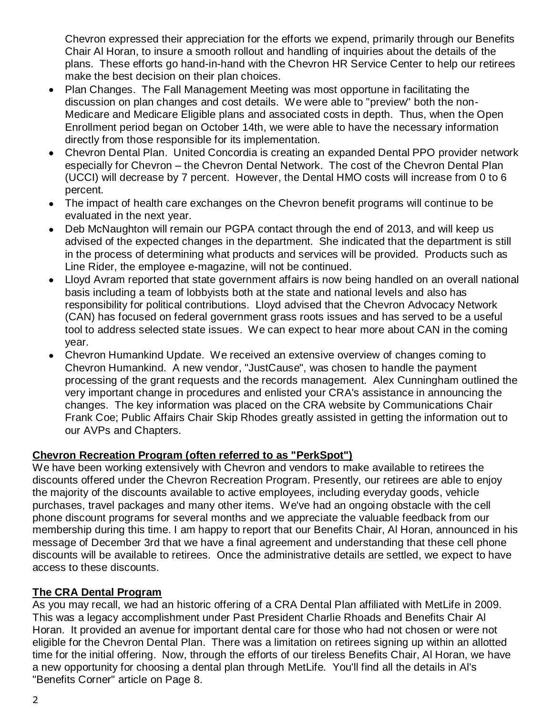Chevron expressed their appreciation for the efforts we expend, primarily through our Benefits Chair Al Horan, to insure a smooth rollout and handling of inquiries about the details of the plans. These efforts go hand-in-hand with the Chevron HR Service Center to help our retirees make the best decision on their plan choices.

- Plan Changes. The Fall Management Meeting was most opportune in facilitating the  $\bullet$ discussion on plan changes and cost details. We were able to "preview" both the non-Medicare and Medicare Eligible plans and associated costs in depth. Thus, when the Open Enrollment period began on October 14th, we were able to have the necessary information directly from those responsible for its implementation.
- Chevron Dental Plan. United Concordia is creating an expanded Dental PPO provider network especially for Chevron – the Chevron Dental Network. The cost of the Chevron Dental Plan (UCCI) will decrease by 7 percent. However, the Dental HMO costs will increase from 0 to 6 percent.
- The impact of health care exchanges on the Chevron benefit programs will continue to be evaluated in the next year.
- Deb McNaughton will remain our PGPA contact through the end of 2013, and will keep us advised of the expected changes in the department. She indicated that the department is still in the process of determining what products and services will be provided. Products such as Line Rider, the employee e-magazine, will not be continued.
- Lloyd Avram reported that state government affairs is now being handled on an overall national  $\bullet$ basis including a team of lobbyists both at the state and national levels and also has responsibility for political contributions. Lloyd advised that the Chevron Advocacy Network (CAN) has focused on federal government grass roots issues and has served to be a useful tool to address selected state issues. We can expect to hear more about CAN in the coming year.
- Chevron Humankind Update. We received an extensive overview of changes coming to Chevron Humankind. A new vendor, "JustCause", was chosen to handle the payment processing of the grant requests and the records management. Alex Cunningham outlined the very important change in procedures and enlisted your CRA's assistance in announcing the changes. The key information was placed on the CRA website by Communications Chair Frank Coe; Public Affairs Chair Skip Rhodes greatly assisted in getting the information out to our AVPs and Chapters.

### **Chevron Recreation Program (often referred to as "PerkSpot")**

We have been working extensively with Chevron and vendors to make available to retirees the discounts offered under the Chevron Recreation Program. Presently, our retirees are able to enjoy the majority of the discounts available to active employees, including everyday goods, vehicle purchases, travel packages and many other items. We've had an ongoing obstacle with the cell phone discount programs for several months and we appreciate the valuable feedback from our membership during this time. I am happy to report that our Benefits Chair, Al Horan, announced in his message of December 3rd that we have a final agreement and understanding that these cell phone discounts will be available to retirees. Once the administrative details are settled, we expect to have access to these discounts.

### **The CRA Dental Program**

As you may recall, we had an historic offering of a CRA Dental Plan affiliated with MetLife in 2009. This was a legacy accomplishment under Past President Charlie Rhoads and Benefits Chair Al Horan. It provided an avenue for important dental care for those who had not chosen or were not eligible for the Chevron Dental Plan. There was a limitation on retirees signing up within an allotted time for the initial offering. Now, through the efforts of our tireless Benefits Chair, Al Horan, we have a new opportunity for choosing a dental plan through MetLife. You'll find all the details in Al's "Benefits Corner" article on Page 8.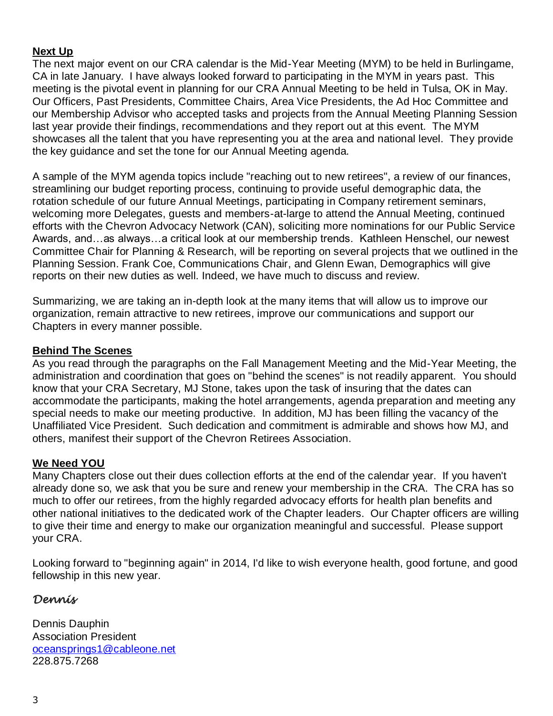### **Next Up**

The next major event on our CRA calendar is the Mid-Year Meeting (MYM) to be held in Burlingame, CA in late January. I have always looked forward to participating in the MYM in years past. This meeting is the pivotal event in planning for our CRA Annual Meeting to be held in Tulsa, OK in May. Our Officers, Past Presidents, Committee Chairs, Area Vice Presidents, the Ad Hoc Committee and our Membership Advisor who accepted tasks and projects from the Annual Meeting Planning Session last year provide their findings, recommendations and they report out at this event. The MYM showcases all the talent that you have representing you at the area and national level. They provide the key guidance and set the tone for our Annual Meeting agenda.

A sample of the MYM agenda topics include "reaching out to new retirees", a review of our finances, streamlining our budget reporting process, continuing to provide useful demographic data, the rotation schedule of our future Annual Meetings, participating in Company retirement seminars, welcoming more Delegates, guests and members-at-large to attend the Annual Meeting, continued efforts with the Chevron Advocacy Network (CAN), soliciting more nominations for our Public Service Awards, and…as always…a critical look at our membership trends. Kathleen Henschel, our newest Committee Chair for Planning & Research, will be reporting on several projects that we outlined in the Planning Session. Frank Coe, Communications Chair, and Glenn Ewan, Demographics will give reports on their new duties as well. Indeed, we have much to discuss and review.

Summarizing, we are taking an in-depth look at the many items that will allow us to improve our organization, remain attractive to new retirees, improve our communications and support our Chapters in every manner possible.

### **Behind The Scenes**

As you read through the paragraphs on the Fall Management Meeting and the Mid-Year Meeting, the administration and coordination that goes on "behind the scenes" is not readily apparent. You should know that your CRA Secretary, MJ Stone, takes upon the task of insuring that the dates can accommodate the participants, making the hotel arrangements, agenda preparation and meeting any special needs to make our meeting productive. In addition, MJ has been filling the vacancy of the Unaffiliated Vice President. Such dedication and commitment is admirable and shows how MJ, and others, manifest their support of the Chevron Retirees Association.

### **We Need YOU**

Many Chapters close out their dues collection efforts at the end of the calendar year. If you haven't already done so, we ask that you be sure and renew your membership in the CRA. The CRA has so much to offer our retirees, from the highly regarded advocacy efforts for health plan benefits and other national initiatives to the dedicated work of the Chapter leaders. Our Chapter officers are willing to give their time and energy to make our organization meaningful and successful. Please support your CRA.

Looking forward to "beginning again" in 2014, I'd like to wish everyone health, good fortune, and good fellowship in this new year.

### *Dennis*

Dennis Dauphin Association President [oceansprings1@cableone.net](mailto:oceansprings1@cableone.net) 228.875.7268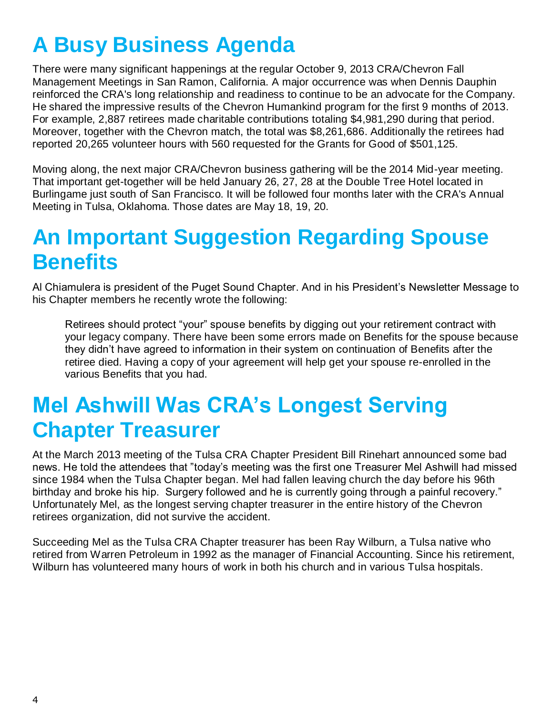# **A Busy Business Agenda**

There were many significant happenings at the regular October 9, 2013 CRA/Chevron Fall Management Meetings in San Ramon, California. A major occurrence was when Dennis Dauphin reinforced the CRA's long relationship and readiness to continue to be an advocate for the Company. He shared the impressive results of the Chevron Humankind program for the first 9 months of 2013. For example, 2,887 retirees made charitable contributions totaling \$4,981,290 during that period. Moreover, together with the Chevron match, the total was \$8,261,686. Additionally the retirees had reported 20,265 volunteer hours with 560 requested for the Grants for Good of \$501,125.

Moving along, the next major CRA/Chevron business gathering will be the 2014 Mid-year meeting. That important get-together will be held January 26, 27, 28 at the Double Tree Hotel located in Burlingame just south of San Francisco. It will be followed four months later with the CRA's Annual Meeting in Tulsa, Oklahoma. Those dates are May 18, 19, 20.

## **An Important Suggestion Regarding Spouse Benefits**

Al Chiamulera is president of the Puget Sound Chapter. And in his President's Newsletter Message to his Chapter members he recently wrote the following:

Retirees should protect "your" spouse benefits by digging out your retirement contract with your legacy company. There have been some errors made on Benefits for the spouse because they didn't have agreed to information in their system on continuation of Benefits after the retiree died. Having a copy of your agreement will help get your spouse re-enrolled in the various Benefits that you had.

## **Mel Ashwill Was CRA's Longest Serving Chapter Treasurer**

At the March 2013 meeting of the Tulsa CRA Chapter President Bill Rinehart announced some bad news. He told the attendees that "today's meeting was the first one Treasurer Mel Ashwill had missed since 1984 when the Tulsa Chapter began. Mel had fallen leaving church the day before his 96th birthday and broke his hip. Surgery followed and he is currently going through a painful recovery." Unfortunately Mel, as the longest serving chapter treasurer in the entire history of the Chevron retirees organization, did not survive the accident.

Succeeding Mel as the Tulsa CRA Chapter treasurer has been Ray Wilburn, a Tulsa native who retired from Warren Petroleum in 1992 as the manager of Financial Accounting. Since his retirement, Wilburn has volunteered many hours of work in both his church and in various Tulsa hospitals.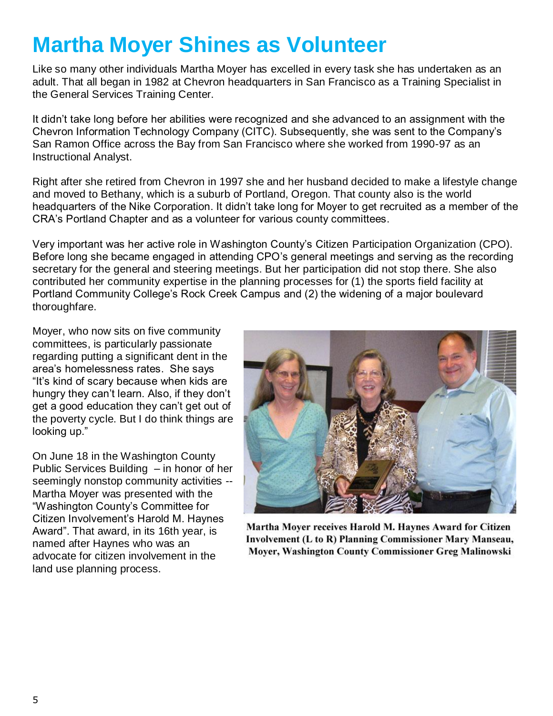## **Martha Moyer Shines as Volunteer**

Like so many other individuals Martha Moyer has excelled in every task she has undertaken as an adult. That all began in 1982 at Chevron headquarters in San Francisco as a Training Specialist in the General Services Training Center.

It didn't take long before her abilities were recognized and she advanced to an assignment with the Chevron Information Technology Company (CITC). Subsequently, she was sent to the Company's San Ramon Office across the Bay from San Francisco where she worked from 1990-97 as an Instructional Analyst.

Right after she retired from Chevron in 1997 she and her husband decided to make a lifestyle change and moved to Bethany, which is a suburb of Portland, Oregon. That county also is the world headquarters of the Nike Corporation. It didn't take long for Moyer to get recruited as a member of the CRA's Portland Chapter and as a volunteer for various county committees.

Very important was her active role in Washington County's Citizen Participation Organization (CPO). Before long she became engaged in attending CPO's general meetings and serving as the recording secretary for the general and steering meetings. But her participation did not stop there. She also contributed her community expertise in the planning processes for (1) the sports field facility at Portland Community College's Rock Creek Campus and (2) the widening of a major boulevard thoroughfare.

Moyer, who now sits on five community committees, is particularly passionate regarding putting a significant dent in the area's homelessness rates. She says "It's kind of scary because when kids are hungry they can't learn. Also, if they don't get a good education they can't get out of the poverty cycle. But I do think things are looking up."

On June 18 in the Washington County Public Services Building – in honor of her seemingly nonstop community activities -- Martha Moyer was presented with the "Washington County's Committee for Citizen Involvement's Harold M. Haynes Award". That award, in its 16th year, is named after Haynes who was an advocate for citizen involvement in the land use planning process.



Martha Moyer receives Harold M. Haynes Award for Citizen **Involvement (L to R) Planning Commissioner Mary Manseau,** Moyer, Washington County Commissioner Greg Malinowski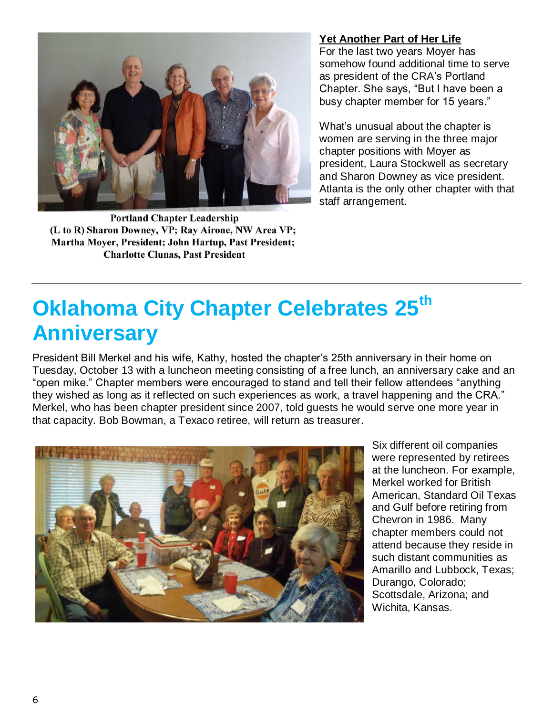

**Portland Chapter Leadership** (L to R) Sharon Downey, VP; Ray Airone, NW Area VP; Martha Moyer, President; John Hartup, Past President; **Charlotte Clunas, Past President** 

### **Yet Another Part of Her Life**

For the last two years Moyer has somehow found additional time to serve as president of the CRA's Portland Chapter. She says, "But I have been a busy chapter member for 15 years."

What's unusual about the chapter is women are serving in the three major chapter positions with Moyer as president, Laura Stockwell as secretary and Sharon Downey as vice president. Atlanta is the only other chapter with that staff arrangement.

## **Oklahoma City Chapter Celebrates 25th Anniversary**

President Bill Merkel and his wife, Kathy, hosted the chapter's 25th anniversary in their home on Tuesday, October 13 with a luncheon meeting consisting of a free lunch, an anniversary cake and an "open mike." Chapter members were encouraged to stand and tell their fellow attendees "anything they wished as long as it reflected on such experiences as work, a travel happening and the CRA." Merkel, who has been chapter president since 2007, told guests he would serve one more year in that capacity. Bob Bowman, a Texaco retiree, will return as treasurer.



Six different oil companies were represented by retirees at the luncheon. For example, Merkel worked for British American, Standard Oil Texas and Gulf before retiring from Chevron in 1986. Many chapter members could not attend because they reside in such distant communities as Amarillo and Lubbock, Texas; Durango, Colorado; Scottsdale, Arizona; and Wichita, Kansas.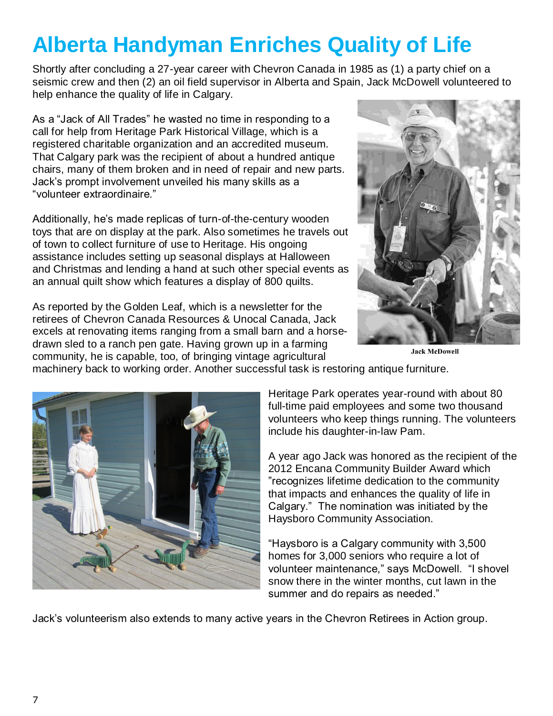# **Alberta Handyman Enriches Quality of Life**

Shortly after concluding a 27-year career with Chevron Canada in 1985 as (1) a party chief on a seismic crew and then (2) an oil field supervisor in Alberta and Spain, Jack McDowell volunteered to help enhance the quality of life in Calgary.

As a "Jack of All Trades" he wasted no time in responding to a call for help from Heritage Park Historical Village, which is a registered charitable organization and an accredited museum. That Calgary park was the recipient of about a hundred antique chairs, many of them broken and in need of repair and new parts. Jack's prompt involvement unveiled his many skills as a "volunteer extraordinaire."

Additionally, he's made replicas of turn-of-the-century wooden toys that are on display at the park. Also sometimes he travels out of town to collect furniture of use to Heritage. His ongoing assistance includes setting up seasonal displays at Halloween and Christmas and lending a hand at such other special events as an annual quilt show which features a display of 800 quilts.

As reported by the Golden Leaf, which is a newsletter for the retirees of Chevron Canada Resources & Unocal Canada, Jack excels at renovating items ranging from a small barn and a horsedrawn sled to a ranch pen gate. Having grown up in a farming community, he is capable, too, of bringing vintage agricultural



**Jack McDowell** 

machinery back to working order. Another successful task is restoring antique furniture.



Heritage Park operates year-round with about 80 full-time paid employees and some two thousand volunteers who keep things running. The volunteers include his daughter-in-law Pam.

A year ago Jack was honored as the recipient of the 2012 Encana Community Builder Award which "recognizes lifetime dedication to the community that impacts and enhances the quality of life in Calgary." The nomination was initiated by the Haysboro Community Association.

"Haysboro is a Calgary community with 3,500 homes for 3,000 seniors who require a lot of volunteer maintenance," says McDowell. "I shovel snow there in the winter months, cut lawn in the summer and do repairs as needed."

Jack's volunteerism also extends to many active years in the Chevron Retirees in Action group.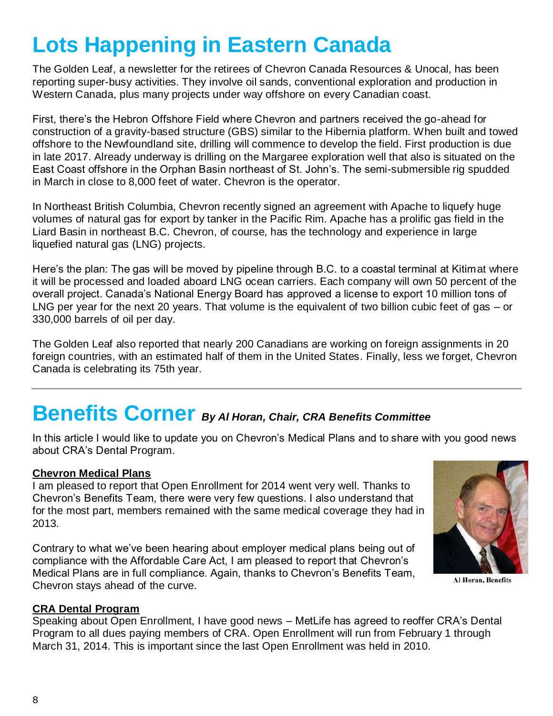## **Lots Happening in Eastern Canada**

The Golden Leaf, a newsletter for the retirees of Chevron Canada Resources & Unocal, has been reporting super-busy activities. They involve oil sands, conventional exploration and production in Western Canada, plus many projects under way offshore on every Canadian coast.

First, there's the Hebron Offshore Field where Chevron and partners received the go-ahead for construction of a gravity-based structure (GBS) similar to the Hibernia platform. When built and towed offshore to the Newfoundland site, drilling will commence to develop the field. First production is due in late 2017. Already underway is drilling on the Margaree exploration well that also is situated on the East Coast offshore in the Orphan Basin northeast of St. John's. The semi-submersible rig spudded in March in close to 8,000 feet of water. Chevron is the operator.

In Northeast British Columbia, Chevron recently signed an agreement with Apache to liquefy huge volumes of natural gas for export by tanker in the Pacific Rim. Apache has a prolific gas field in the Liard Basin in northeast B.C. Chevron, of course, has the technology and experience in large liquefied natural gas (LNG) projects.

Here's the plan: The gas will be moved by pipeline through B.C. to a coastal terminal at Kitimat where it will be processed and loaded aboard LNG ocean carriers. Each company will own 50 percent of the overall project. Canada's National Energy Board has approved a license to export 10 million tons of LNG per year for the next 20 years. That volume is the equivalent of two billion cubic feet of gas – or 330,000 barrels of oil per day.

The Golden Leaf also reported that nearly 200 Canadians are working on foreign assignments in 20 foreign countries, with an estimated half of them in the United States. Finally, less we forget, Chevron Canada is celebrating its 75th year.

### **Benefits Corner** *By Al Horan, Chair, CRA Benefits Committee*

In this article I would like to update you on Chevron's Medical Plans and to share with you good news about CRA's Dental Program.

### **Chevron Medical Plans**

I am pleased to report that Open Enrollment for 2014 went very well. Thanks to Chevron's Benefits Team, there were very few questions. I also understand that for the most part, members remained with the same medical coverage they had in 2013.

Contrary to what we've been hearing about employer medical plans being out of compliance with the Affordable Care Act, I am pleased to report that Chevron's Medical Plans are in full compliance. Again, thanks to Chevron's Benefits Team, Chevron stays ahead of the curve.



**Al Horan, Benefits** 

### **CRA Dental Program**

Speaking about Open Enrollment, I have good news – MetLife has agreed to reoffer CRA's Dental Program to all dues paying members of CRA. Open Enrollment will run from February 1 through March 31, 2014. This is important since the last Open Enrollment was held in 2010.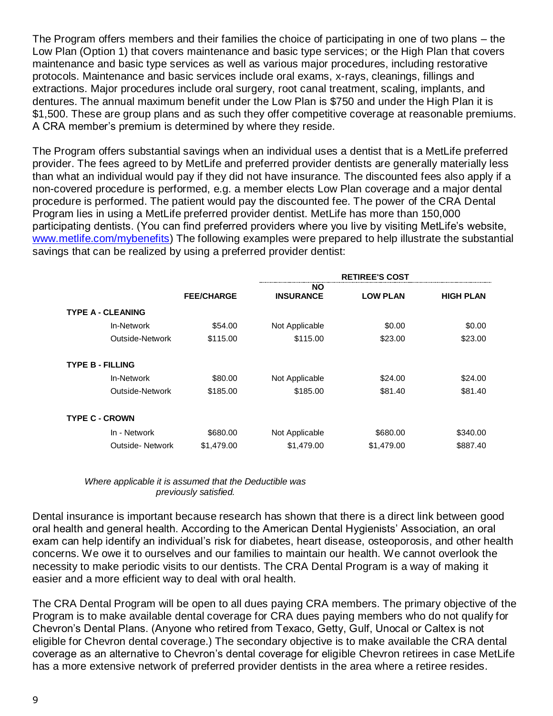The Program offers members and their families the choice of participating in one of two plans – the Low Plan (Option 1) that covers maintenance and basic type services; or the High Plan that covers maintenance and basic type services as well as various major procedures, including restorative protocols. Maintenance and basic services include oral exams, x-rays, cleanings, fillings and extractions. Major procedures include oral surgery, root canal treatment, scaling, implants, and dentures. The annual maximum benefit under the Low Plan is \$750 and under the High Plan it is \$1,500. These are group plans and as such they offer competitive coverage at reasonable premiums. A CRA member's premium is determined by where they reside.

The Program offers substantial savings when an individual uses a dentist that is a MetLife preferred provider. The fees agreed to by MetLife and preferred provider dentists are generally materially less than what an individual would pay if they did not have insurance. The discounted fees also apply if a non-covered procedure is performed, e.g. a member elects Low Plan coverage and a major dental procedure is performed. The patient would pay the discounted fee. The power of the CRA Dental Program lies in using a MetLife preferred provider dentist. MetLife has more than 150,000 participating dentists. (You can find preferred providers where you live by visiting MetLife's website, [www.metlife.com/mybenefits\)](http://www.metlife.com/mybenefits) The following examples were prepared to help illustrate the substantial savings that can be realized by using a preferred provider dentist:

|                          | <b>RETIREE'S COST</b> |                  |                 |                  |
|--------------------------|-----------------------|------------------|-----------------|------------------|
|                          |                       | <b>NO</b>        |                 |                  |
|                          | <b>FEE/CHARGE</b>     | <b>INSURANCE</b> | <b>LOW PLAN</b> | <b>HIGH PLAN</b> |
| <b>TYPE A - CLEANING</b> |                       |                  |                 |                  |
| In-Network               | \$54.00               | Not Applicable   | \$0.00          | \$0.00           |
| Outside-Network          | \$115.00              | \$115.00         | \$23.00         | \$23.00          |
| <b>TYPE B - FILLING</b>  |                       |                  |                 |                  |
| In-Network               | \$80.00               | Not Applicable   | \$24.00         | \$24.00          |
| Outside-Network          | \$185.00              | \$185.00         | \$81.40         | \$81.40          |
| <b>TYPE C - CROWN</b>    |                       |                  |                 |                  |
| In - Network             | \$680.00              | Not Applicable   | \$680.00        | \$340.00         |
| <b>Outside-Network</b>   | \$1,479.00            | \$1,479.00       | \$1,479.00      | \$887.40         |

*Where applicable it is assumed that the Deductible was previously satisfied.*

Dental insurance is important because research has shown that there is a direct link between good oral health and general health. According to the American Dental Hygienists' Association, an oral exam can help identify an individual's risk for diabetes, heart disease, osteoporosis, and other health concerns. We owe it to ourselves and our families to maintain our health. We cannot overlook the necessity to make periodic visits to our dentists. The CRA Dental Program is a way of making it easier and a more efficient way to deal with oral health.

The CRA Dental Program will be open to all dues paying CRA members. The primary objective of the Program is to make available dental coverage for CRA dues paying members who do not qualify for Chevron's Dental Plans. (Anyone who retired from Texaco, Getty, Gulf, Unocal or Caltex is not eligible for Chevron dental coverage.) The secondary objective is to make available the CRA dental coverage as an alternative to Chevron's dental coverage for eligible Chevron retirees in case MetLife has a more extensive network of preferred provider dentists in the area where a retiree resides.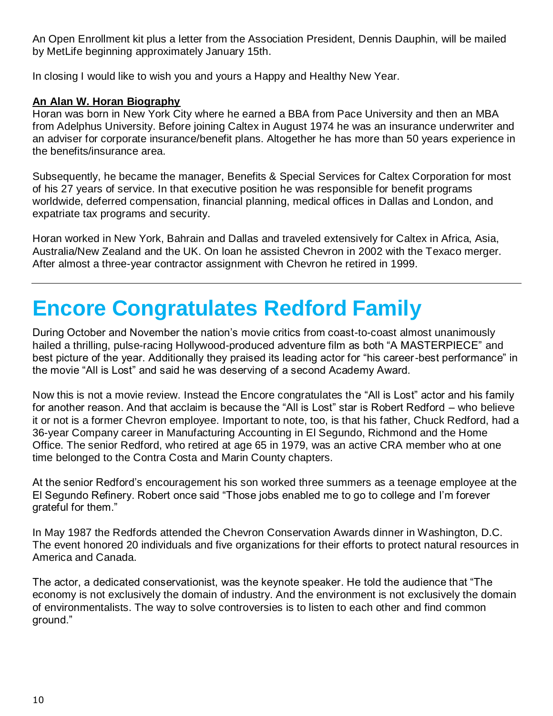An Open Enrollment kit plus a letter from the Association President, Dennis Dauphin, will be mailed by MetLife beginning approximately January 15th.

In closing I would like to wish you and yours a Happy and Healthy New Year.

### **An Alan W. Horan Biography**

Horan was born in New York City where he earned a BBA from Pace University and then an MBA from Adelphus University. Before joining Caltex in August 1974 he was an insurance underwriter and an adviser for corporate insurance/benefit plans. Altogether he has more than 50 years experience in the benefits/insurance area.

Subsequently, he became the manager, Benefits & Special Services for Caltex Corporation for most of his 27 years of service. In that executive position he was responsible for benefit programs worldwide, deferred compensation, financial planning, medical offices in Dallas and London, and expatriate tax programs and security.

Horan worked in New York, Bahrain and Dallas and traveled extensively for Caltex in Africa, Asia, Australia/New Zealand and the UK. On loan he assisted Chevron in 2002 with the Texaco merger. After almost a three-year contractor assignment with Chevron he retired in 1999.

## **Encore Congratulates Redford Family**

During October and November the nation's movie critics from coast-to-coast almost unanimously hailed a thrilling, pulse-racing Hollywood-produced adventure film as both "A MASTERPIECE" and best picture of the year. Additionally they praised its leading actor for "his career-best performance" in the movie "All is Lost" and said he was deserving of a second Academy Award.

Now this is not a movie review. Instead the Encore congratulates the "All is Lost" actor and his family for another reason. And that acclaim is because the "All is Lost" star is Robert Redford – who believe it or not is a former Chevron employee. Important to note, too, is that his father, Chuck Redford, had a 36-year Company career in Manufacturing Accounting in El Segundo, Richmond and the Home Office. The senior Redford, who retired at age 65 in 1979, was an active CRA member who at one time belonged to the Contra Costa and Marin County chapters.

At the senior Redford's encouragement his son worked three summers as a teenage employee at the El Segundo Refinery. Robert once said "Those jobs enabled me to go to college and I'm forever grateful for them."

In May 1987 the Redfords attended the Chevron Conservation Awards dinner in Washington, D.C. The event honored 20 individuals and five organizations for their efforts to protect natural resources in America and Canada.

The actor, a dedicated conservationist, was the keynote speaker. He told the audience that "The economy is not exclusively the domain of industry. And the environment is not exclusively the domain of environmentalists. The way to solve controversies is to listen to each other and find common ground."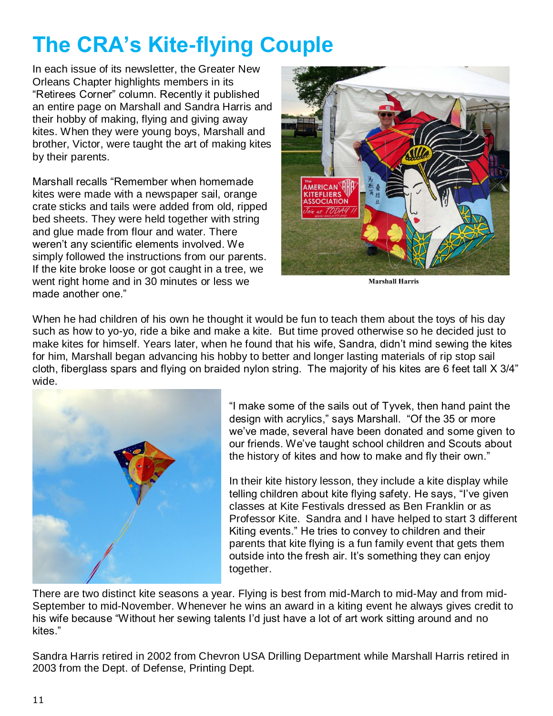# **The CRA's Kite-flying Couple**

In each issue of its newsletter, the Greater New Orleans Chapter highlights members in its "Retirees Corner" column. Recently it published an entire page on Marshall and Sandra Harris and their hobby of making, flying and giving away kites. When they were young boys, Marshall and brother, Victor, were taught the art of making kites by their parents.

Marshall recalls "Remember when homemade kites were made with a newspaper sail, orange crate sticks and tails were added from old, ripped bed sheets. They were held together with string and glue made from flour and water. There weren't any scientific elements involved. We simply followed the instructions from our parents. If the kite broke loose or got caught in a tree, we went right home and in 30 minutes or less we made another one."



**Marshall Harris** 

When he had children of his own he thought it would be fun to teach them about the toys of his day such as how to yo-yo, ride a bike and make a kite. But time proved otherwise so he decided just to make kites for himself. Years later, when he found that his wife, Sandra, didn't mind sewing the kites for him, Marshall began advancing his hobby to better and longer lasting materials of rip stop sail cloth, fiberglass spars and flying on braided nylon string. The majority of his kites are 6 feet tall X 3/4" wide.



"I make some of the sails out of Tyvek, then hand paint the design with acrylics," says Marshall. "Of the 35 or more we've made, several have been donated and some given to our friends. We've taught school children and Scouts about the history of kites and how to make and fly their own."

In their kite history lesson, they include a kite display while telling children about kite flying safety. He says, "I've given classes at Kite Festivals dressed as Ben Franklin or as Professor Kite. Sandra and I have helped to start 3 different Kiting events." He tries to convey to children and their parents that kite flying is a fun family event that gets them outside into the fresh air. It's something they can enjoy together.

There are two distinct kite seasons a year. Flying is best from mid-March to mid-May and from mid-September to mid-November. Whenever he wins an award in a kiting event he always gives credit to his wife because "Without her sewing talents I'd just have a lot of art work sitting around and no kites."

Sandra Harris retired in 2002 from Chevron USA Drilling Department while Marshall Harris retired in 2003 from the Dept. of Defense, Printing Dept.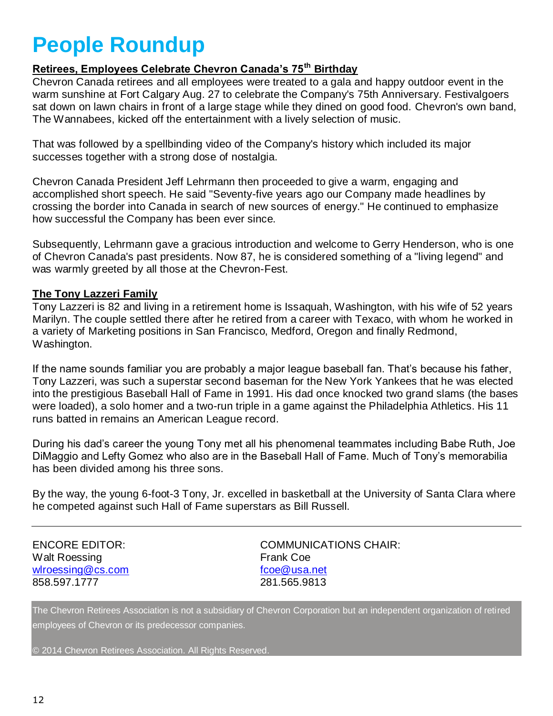## **People Roundup**

### **Retirees, Employees Celebrate Chevron Canada's 75th Birthday**

Chevron Canada retirees and all employees were treated to a gala and happy outdoor event in the warm sunshine at Fort Calgary Aug. 27 to celebrate the Company's 75th Anniversary. Festivalgoers sat down on lawn chairs in front of a large stage while they dined on good food. Chevron's own band, The Wannabees, kicked off the entertainment with a lively selection of music.

That was followed by a spellbinding video of the Company's history which included its major successes together with a strong dose of nostalgia.

Chevron Canada President Jeff Lehrmann then proceeded to give a warm, engaging and accomplished short speech. He said "Seventy-five years ago our Company made headlines by crossing the border into Canada in search of new sources of energy." He continued to emphasize how successful the Company has been ever since.

Subsequently, Lehrmann gave a gracious introduction and welcome to Gerry Henderson, who is one of Chevron Canada's past presidents. Now 87, he is considered something of a "living legend" and was warmly greeted by all those at the Chevron-Fest.

### **The Tony Lazzeri Family**

Tony Lazzeri is 82 and living in a retirement home is Issaquah, Washington, with his wife of 52 years Marilyn. The couple settled there after he retired from a career with Texaco, with whom he worked in a variety of Marketing positions in San Francisco, Medford, Oregon and finally Redmond, Washington.

If the name sounds familiar you are probably a major league baseball fan. That's because his father, Tony Lazzeri, was such a superstar second baseman for the New York Yankees that he was elected into the prestigious Baseball Hall of Fame in 1991. His dad once knocked two grand slams (the bases were loaded), a solo homer and a two-run triple in a game against the Philadelphia Athletics. His 11 runs batted in remains an American League record.

During his dad's career the young Tony met all his phenomenal teammates including Babe Ruth, Joe DiMaggio and Lefty Gomez who also are in the Baseball Hall of Fame. Much of Tony's memorabilia has been divided among his three sons.

By the way, the young 6-foot-3 Tony, Jr. excelled in basketball at the University of Santa Clara where he competed against such Hall of Fame superstars as Bill Russell.

Walt Roessing **Frank Coe** [wlroessing@cs.com](mailto:wlroessing@cs.com) [fcoe@usa.net](mailto:fcoe@usa.net) 858.597.1777 281.565.9813

ENCORE EDITOR: COMMUNICATIONS CHAIR:

The Chevron Retirees Association is not a subsidiary of Chevron Corporation but an independent organization of retired employees of Chevron or its predecessor companies.

© 2014 Chevron Retirees Association. All Rights Reserved.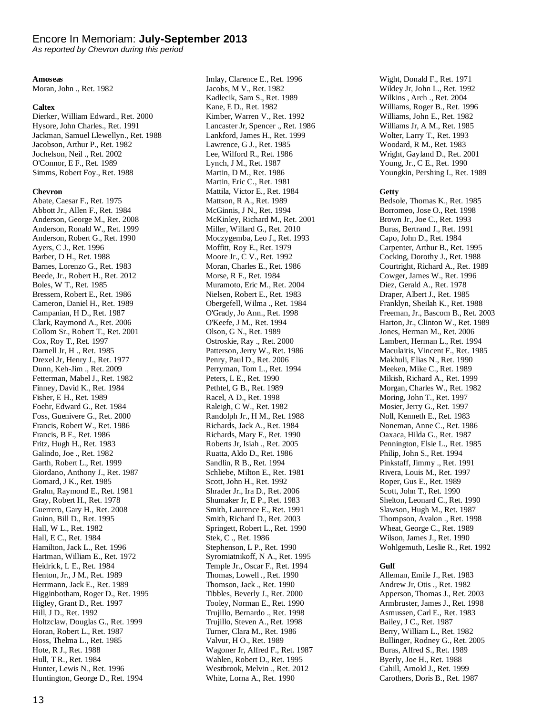#### Encore In Memoriam: **July-September 2013**

*As reported by Chevron during this period*

#### **Amoseas**

Moran, John ., Ret. 1982

#### **Caltex**

Dierker, William Edward., Ret. 2000 Hysore, John Charles., Ret. 1991 Jackman, Samuel Llewellyn., Ret. 1988 Jacobson, Arthur P., Ret. 1982 Jochelson, Neil ., Ret. 2002 O'Connor, E F., Ret. 1989 Simms, Robert Foy., Ret. 1988

#### **Chevron**

Abate, Caesar F., Ret. 1975 Abbott Jr., Allen F., Ret. 1984 Anderson, George M., Ret. 2008 Anderson, Ronald W., Ret. 1999 Anderson, Robert G., Ret. 1990 Ayers, C J., Ret. 1996 Barber, D H., Ret. 1988 Barnes, Lorenzo G., Ret. 1983 Beede, Jr., Robert H., Ret. 2012 Boles, W T., Ret. 1985 Bressem, Robert E., Ret. 1986 Cameron, Daniel H., Ret. 1989 Campanian, H D., Ret. 1987 Clark, Raymond A., Ret. 2006 Collom Sr., Robert T., Ret. 2001 Cox, Roy T., Ret. 1997 Darnell Jr, H ., Ret. 1985 Drexel Jr, Henry J., Ret. 1977 Dunn, Keh-Jim ., Ret. 2009 Fetterman, Mabel J., Ret. 1982 Finney, David K., Ret. 1984 Fisher, E H., Ret. 1989 Foehr, Edward G., Ret. 1984 Foss, Guenivere G., Ret. 2000 Francis, Robert W., Ret. 1986 Francis, B F., Ret. 1986 Fritz, Hugh H., Ret. 1983 Galindo, Joe ., Ret. 1982 Garth, Robert L., Ret. 1999 Giordano, Anthony J., Ret. 1987 Gomard, J K., Ret. 1985 Grahn, Raymond E., Ret. 1981 Gray, Robert H., Ret. 1978 Guerrero, Gary H., Ret. 2008 Guinn, Bill D., Ret. 1995 Hall, W L., Ret. 1982 Hall, E C., Ret. 1984 Hamilton, Jack L., Ret. 1996 Hartman, William E., Ret. 1972 Heidrick, L E., Ret. 1984 Henton, Jr., J M., Ret. 1989 Herrmann, Jack E., Ret. 1989 Higginbotham, Roger D., Ret. 1995 Higley, Grant D., Ret. 1997 Hill, J D., Ret. 1992 Holtzclaw, Douglas G., Ret. 1999 Horan, Robert L., Ret. 1987 Hoss, Thelma L., Ret. 1985 Hote, R J., Ret. 1988 Hull, T R., Ret. 1984 Hunter, Lewis N., Ret. 1996 Huntington, George D., Ret. 1994

Imlay, Clarence E., Ret. 1996 Jacobs, M V., Ret. 1982 Kadlecik, Sam S., Ret. 1989 Kane, E D., Ret. 1982 Kimber, Warren V., Ret. 1992 Lancaster Jr, Spencer ., Ret. 1986 Lankford, James H., Ret. 1999 Lawrence, G J., Ret. 1985 Lee, Wilford R., Ret. 1986 Lynch, J M., Ret. 1987 Martin, D M., Ret. 1986 Martin, Eric C., Ret. 1981 Mattila, Victor E., Ret. 1984 Mattson, R A., Ret. 1989 McGinnis, J N., Ret. 1994 McKinley, Richard M., Ret. 2001 Miller, Willard G., Ret. 2010 Moczygemba, Leo J., Ret. 1993 Moffitt, Roy E., Ret. 1979 Moore Jr., C V., Ret. 1992 Moran, Charles E., Ret. 1986 Morse, R F., Ret. 1984 Muramoto, Eric M., Ret. 2004 Nielsen, Robert E., Ret. 1983 Obergefell, Wilma ., Ret. 1984 O'Grady, Jo Ann., Ret. 1998 O'Keefe, J M., Ret. 1994 Olson, G N., Ret. 1989 Ostroskie, Ray ., Ret. 2000 Patterson, Jerry W., Ret. 1986 Penry, Paul D., Ret. 2006 Perryman, Tom L., Ret. 1994 Peters, L E., Ret. 1990 Pethtel, G B., Ret. 1989 Racel, A D., Ret. 1998 Raleigh, C W., Ret. 1982 Randolph Jr., H M., Ret. 1988 Richards, Jack A., Ret. 1984 Richards, Mary F., Ret. 1990 Roberts Jr, Isiah ., Ret. 2005 Ruatta, Aldo D., Ret. 1986 Sandlin, R B., Ret. 1994 Schliebe, Milton E., Ret. 1981 Scott, John H., Ret. 1992 Shrader Jr., Ira D., Ret. 2006 Shumaker Jr, E P., Ret. 1983 Smith, Laurence E., Ret. 1991 Smith, Richard D., Ret. 2003 Springett, Robert L., Ret. 1990 Stek, C ., Ret. 1986 Stephenson, L P., Ret. 1990 Syromiatnikoff, N A., Ret. 1995 Temple Jr., Oscar F., Ret. 1994 Thomas, Lowell ., Ret. 1990 Thomson, Jack ., Ret. 1990 Tibbles, Beverly J., Ret. 2000 Tooley, Norman E., Ret. 1990 Trujillo, Bernardo ., Ret. 1998 Trujillo, Steven A., Ret. 1998 Turner, Clara M., Ret. 1986 Valvur, H O., Ret. 1989 Wagoner Jr, Alfred F., Ret. 1987 Wahlen, Robert D., Ret. 1995 Westbrook, Melvin ., Ret. 2012 White, Lorna A., Ret. 1990

Wight, Donald F., Ret. 1971 Wildey Jr, John L., Ret. 1992 Wilkins , Arch ., Ret. 2004 Williams, Roger B., Ret. 1996 Williams, John E., Ret. 1982 Williams Jr, A M., Ret. 1985 Wolter, Larry T., Ret. 1993 Woodard, R M., Ret. 1983 Wright, Gayland D., Ret. 2001 Young, Jr., C E., Ret. 1990 Youngkin, Pershing I., Ret. 1989

#### **Getty**

Bedsole, Thomas K., Ret. 1985 Borromeo, Jose O., Ret. 1998 Brown Jr., Joe C., Ret. 1993 Buras, Bertrand J., Ret. 1991 Capo, John D., Ret. 1984 Carpenter, Arthur B., Ret. 1995 Cocking, Dorothy J., Ret. 1988 Courtright, Richard A., Ret. 1989 Cowger, James W., Ret. 1996 Diez, Gerald A., Ret. 1978 Draper, Albert J., Ret. 1985 Franklyn, Sheilah K., Ret. 1988 Freeman, Jr., Bascom B., Ret. 2003 Harton, Jr., Clinton W., Ret. 1989 Jones, Herman M., Ret. 2006 Lambert, Herman L., Ret. 1994 Maculaitis, Vincent F., Ret. 1985 Makhuli, Elias N., Ret. 1990 Meeken, Mike C., Ret. 1989 Mikish, Richard A., Ret. 1999 Morgan, Charles W., Ret. 1982 Moring, John T., Ret. 1997 Mosier, Jerry G., Ret. 1997 Noll, Kenneth E., Ret. 1983 Noneman, Anne C., Ret. 1986 Oaxaca, Hilda G., Ret. 1987 Pennington, Elsie L., Ret. 1985 Philip, John S., Ret. 1994 Pinkstaff, Jimmy ., Ret. 1991 Rivera, Louis M., Ret. 1997 Roper, Gus E., Ret. 1989 Scott, John T., Ret. 1990 Shelton, Leonard C., Ret. 1990 Slawson, Hugh M., Ret. 1987 Thompson, Avalon ., Ret. 1998 Wheat, George C., Ret. 1989 Wilson, James J., Ret. 1990 Wohlgemuth, Leslie R., Ret. 1992

#### **Gulf**

Alleman, Emile J., Ret. 1983 Andrew Jr, Otis ., Ret. 1982 Apperson, Thomas J., Ret. 2003 Armbruster, James J., Ret. 1998 Asmussen, Carl E., Ret. 1983 Bailey, J C., Ret. 1987 Berry, William L., Ret. 1982 Bullinger, Rodney G., Ret. 2005 Buras, Alfred S., Ret. 1989 Byerly, Joe H., Ret. 1988 Cahill, Arnold J., Ret. 1999 Carothers, Doris B., Ret. 1987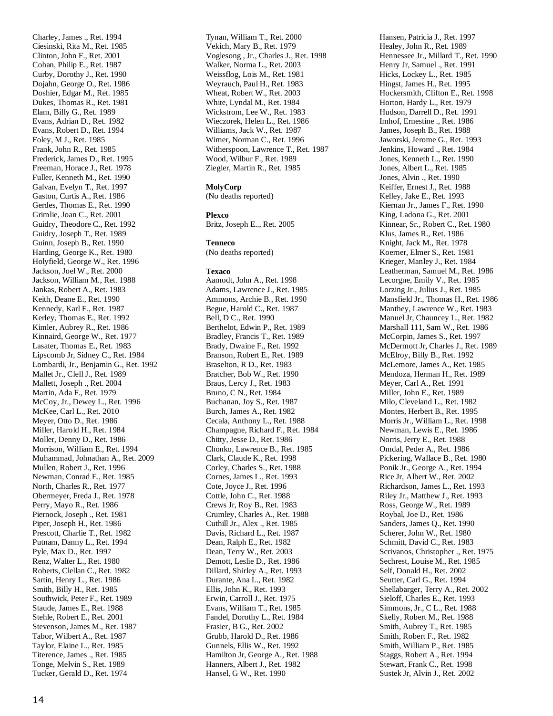Charley, James ., Ret. 1994 Ciesinski, Rita M., Ret. 1985 Clinton, John F., Ret. 2001 Cohan, Philip E., Ret. 1987 Curby, Dorothy J., Ret. 1990 Dojahn, George O., Ret. 1986 Doshier, Edgar M., Ret. 1985 Dukes, Thomas R., Ret. 1981 Elam, Billy G., Ret. 1989 Evans, Adrian D., Ret. 1982 Evans, Robert D., Ret. 1994 Foley, M J., Ret. 1985 Frank, John R., Ret. 1985 Frederick, James D., Ret. 1995 Freeman, Horace J., Ret. 1978 Fuller, Kenneth M., Ret. 1990 Galvan, Evelyn T., Ret. 1997 Gaston, Curtis A., Ret. 1986 Gerdes, Thomas E., Ret. 1990 Grimlie, Joan C., Ret. 2001 Guidry, Theodore C., Ret. 1992 Guidry, Joseph T., Ret. 1989 Guinn, Joseph B., Ret. 1990 Harding, George K., Ret. 1980 Holyfield, George W., Ret. 1996 Jackson, Joel W., Ret. 2000 Jackson, William M., Ret. 1988 Jankas, Robert A., Ret. 1983 Keith, Deane E., Ret. 1990 Kennedy, Karl F., Ret. 1987 Kerley, Thomas E., Ret. 1992 Kimler, Aubrey R., Ret. 1986 Kinnaird, George W., Ret. 1977 Lasater, Thomas E., Ret. 1983 Lipscomb Jr, Sidney C., Ret. 1984 Lombardi, Jr., Benjamin G., Ret. 1992 Mallet Jr., Clell J., Ret. 1989 Mallett, Joseph ., Ret. 2004 Martin, Ada F., Ret. 1979 McCoy, Jr., Dewey L., Ret. 1996 McKee, Carl L., Ret. 2010 Meyer, Otto D., Ret. 1986 Miller, Harold H., Ret. 1984 Moller, Denny D., Ret. 1986 Morrison, William E., Ret. 1994 Muhammad, Johnathan A., Ret. 2009 Mullen, Robert J., Ret. 1996 Newman, Conrad E., Ret. 1985 North, Charles R., Ret. 1977 Obermeyer, Freda J., Ret. 1978 Perry, Mayo R., Ret. 1986 Piernock, Joseph ., Ret. 1981 Piper, Joseph H., Ret. 1986 Prescott, Charlie T., Ret. 1982 Putnam, Danny L., Ret. 1994 Pyle, Max D., Ret. 1997 Renz, Walter L., Ret. 1980 Roberts, Clellan C., Ret. 1982 Sartin, Henry L., Ret. 1986 Smith, Billy H., Ret. 1985 Southwick, Peter F., Ret. 1989 Staude, James E., Ret. 1988 Stehle, Robert E., Ret. 2001 Stevenson, James M., Ret. 1987 Tabor, Wilbert A., Ret. 1987 Taylor, Elaine L., Ret. 1985 Titerence, James ., Ret. 1985 Tonge, Melvin S., Ret. 1989 Tucker, Gerald D., Ret. 1974

Tynan, William T., Ret. 2000 Vekich, Mary B., Ret. 1979 Voglesong , Jr., Charles J., Ret. 1998 Walker, Norma L., Ret. 2003 Weissflog, Lois M., Ret. 1981 Weyrauch, Paul H., Ret. 1983 Wheat, Robert W., Ret. 2003 White, Lyndal M., Ret. 1984 Wickstrom, Lee W., Ret. 1983 Wieczorek, Helen L., Ret. 1986 Williams, Jack W., Ret. 1987 Wimer, Norman C., Ret. 1996 Witherspoon, Lawrence T., Ret. 1987 Wood, Wilbur F., Ret. 1989 Ziegler, Martin R., Ret. 1985

#### **MolyCorp**

(No deaths reported)

#### **Plexco**

Britz, Joseph E.., Ret. 2005

#### **Tenneco**

(No deaths reported)

#### **Texaco**

Aamodt, John A., Ret. 1998 Adams, Lawrence J., Ret. 1985 Ammons, Archie B., Ret. 1990 Begue, Harold C., Ret. 1987 Bell, D C., Ret. 1990 Berthelot, Edwin P., Ret. 1989 Bradley, Francis T., Ret. 1989 Brady, Dwaine F., Ret. 1992 Branson, Robert E., Ret. 1989 Braselton, R D., Ret. 1983 Bratcher, Bob W., Ret. 1990 Braus, Lercy J., Ret. 1983 Bruno, C N., Ret. 1984 Buchanan, Joy S., Ret. 1987 Burch, James A., Ret. 1982 Cecala, Anthony L., Ret. 1988 Champagne, Richard F., Ret. 1984 Chitty, Jesse D., Ret. 1986 Chonko, Lawrence B., Ret. 1985 Clark, Claude K., Ret. 1998 Corley, Charles S., Ret. 1988 Cornes, James L., Ret. 1993 Cote, Joyce J., Ret. 1996 Cottle, John C., Ret. 1988 Crews Jr, Roy B., Ret. 1983 Crumley, Charles A., Ret. 1988 Cuthill Jr., Alex ., Ret. 1985 Davis, Richard L., Ret. 1987 Dean, Ralph E., Ret. 1982 Dean, Terry W., Ret. 2003 Demott, Leslie D., Ret. 1986 Dillard, Shirley A., Ret. 1993 Durante, Ana L., Ret. 1982 Ellis, John K., Ret. 1993 Erwin, Carroll J., Ret. 1975 Evans, William T., Ret. 1985 Fandel, Dorothy L., Ret. 1984 Frasier, B G., Ret. 2002 Grubb, Harold D., Ret. 1986 Gunnels, Ellis W., Ret. 1992 Hamilton Jr, George A., Ret. 1988 Hanners, Albert J., Ret. 1982 Hansel, G W., Ret. 1990

Hansen, Patricia J., Ret. 1997 Healey, John R., Ret. 1989 Hennessee Jr., Millard T., Ret. 1990 Henry Jr, Samuel ., Ret. 1991 Hicks, Lockey L., Ret. 1985 Hingst, James H., Ret. 1995 Hockersmith, Clifton E., Ret. 1998 Horton, Hardy L., Ret. 1979 Hudson, Darrell D., Ret. 1991 Imhof, Ernestine ., Ret. 1986 James, Joseph B., Ret. 1988 Jaworski, Jerome G., Ret. 1993 Jenkins, Howard ., Ret. 1984 Jones, Kenneth L., Ret. 1990 Jones, Albert L., Ret. 1985 Jones, Alvin ., Ret. 1990 Keiffer, Ernest J., Ret. 1988 Kelley, Jake E., Ret. 1993 Kiernan Jr., James F., Ret. 1990 King, Ladona G., Ret. 2001 Kinnear, Sr., Robert C., Ret. 1980 Klus, James R., Ret. 1986 Knight, Jack M., Ret. 1978 Koerner, Elmer S., Ret. 1981 Krieger, Manley J., Ret. 1984 Leatherman, Samuel M., Ret. 1986 Lecorgne, Emily V., Ret. 1985 Lorzing Jr., Julius J., Ret. 1985 Mansfield Jr., Thomas H., Ret. 1986 Manthey, Lawrence W., Ret. 1983 Manuel Jr, Chauncey L., Ret. 1982 Marshall 111, Sam W., Ret. 1986 McCorpin, James S., Ret. 1997 McDermott Jr, Charles J., Ret. 1989 McElroy, Billy B., Ret. 1992 McLemore, James A., Ret. 1985 Mendoza, Herman H., Ret. 1989 Meyer, Carl A., Ret. 1991 Miller, John E., Ret. 1989 Milo, Cleveland L., Ret. 1982 Montes, Herbert B., Ret. 1995 Morris Jr., William L., Ret. 1998 Newman, Lewis E., Ret. 1986 Norris, Jerry E., Ret. 1988 Omdal, Peder A., Ret. 1986 Pickering, Wallace B., Ret. 1980 Ponik Jr., George A., Ret. 1994 Rice Jr, Albert W., Ret. 2002 Richardson, James L., Ret. 1993 Riley Jr., Matthew J., Ret. 1993 Ross, George W., Ret. 1989 Roybal, Joe D., Ret. 1986 Sanders, James Q., Ret. 1990 Scherer, John W., Ret. 1980 Schmitt, David C., Ret. 1983 Scrivanos, Christopher ., Ret. 1975 Sechrest, Louise M., Ret. 1985 Self, Donald H., Ret. 2002 Seutter, Carl G., Ret. 1994 Shellabarger, Terry A., Ret. 2002 Sieloff, Charles E., Ret. 1993 Simmons, Jr., C L., Ret. 1988 Skelly, Robert M., Ret. 1988 Smith, Aubrey T., Ret. 1985 Smith, Robert F., Ret. 1982 Smith, William P., Ret. 1985 Staggs, Robert A., Ret. 1994 Stewart, Frank C., Ret. 1998 Sustek Jr, Alvin J., Ret. 2002